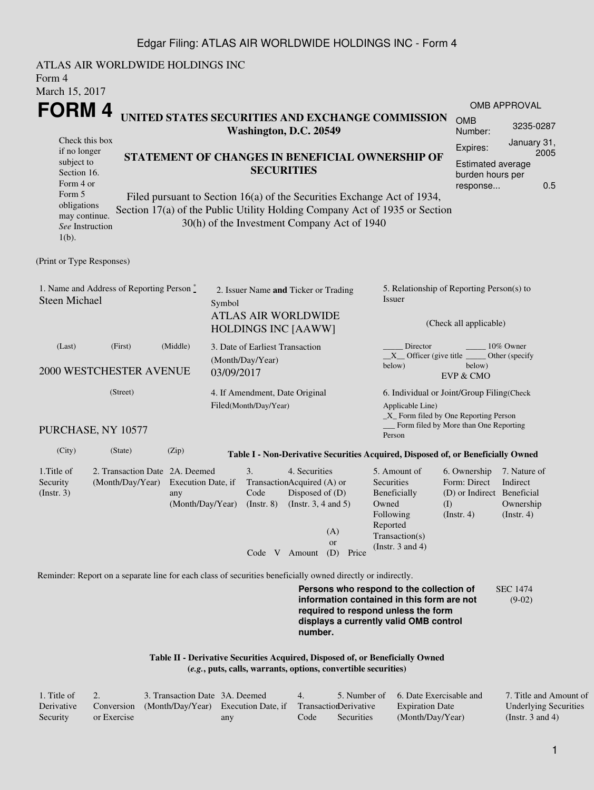## Edgar Filing: ATLAS AIR WORLDWIDE HOLDINGS INC - Form 4

ATLAS AIR WORLDWIDE HOLDINGS INC Form 4 March 15, 2017 **FORM 4** Check this box if no longer subject to Section 16. Form 4 or Form 5 obligations may continue. *See* Instruction 1(b). **UNITED STATES SECURITIES AND EXCHANGE COMMISSION Washington, D.C. 20549 STATEMENT OF CHANGES IN BENEFICIAL OWNERSHIP OF SECURITIES** Filed pursuant to Section 16(a) of the Securities Exchange Act of 1934, Section 17(a) of the Public Utility Holding Company Act of 1935 or Section 30(h) of the Investment Company Act of 1940 OMB APPROVAL OMB Number: 3235-0287 Expires: January 31, 2005 Estimated average burden hours per response... 0.5 (Print or Type Responses) 1. Name and Address of Reporting Person  $\degree$ Steen Michael 2. Issuer Name **and** Ticker or Trading Symbol ATLAS AIR WORLDWIDE HOLDINGS INC [AAWW] 5. Relationship of Reporting Person(s) to Issuer (Check all applicable) Director \_\_\_\_\_\_\_\_ 10% Owner \_\_X\_\_ Officer (give title below) Other (specify below) EVP & CMO (Last) (First) (Middle) 2000 WESTCHESTER AVENUE 3. Date of Earliest Transaction (Month/Day/Year) 03/09/2017 (Street) PURCHASE, NY 10577 4. If Amendment, Date Original Filed(Month/Day/Year) 6. Individual or Joint/Group Filing(Check Applicable Line) \_X\_ Form filed by One Reporting Person Form filed by More than One Reporting Person (City) (State) (Zip) **Table I - Non-Derivative Securities Acquired, Disposed of, or Beneficially Owned** 1.Title of Security (Instr. 3) 2. Transaction Date 2A. Deemed (Month/Day/Year) Execution Date, if any (Month/Day/Year) 3. Transaction Acquired (A) or Code (Instr. 8) 4. Securities Disposed of (D) (Instr. 3, 4 and 5) 5. Amount of **Securities** Beneficially Owned Following Reported Transaction(s) (Instr. 3 and 4) 6. Ownership Form: Direct (D) or Indirect Beneficial (I) (Instr. 4) 7. Nature of Indirect Ownership (Instr. 4) Code V Amount (D) Price (A) or Reminder: Report on a separate line for each class of securities beneficially owned directly or indirectly. **Persons who respond to the collection of information contained in this form are not required to respond unless the form displays a currently valid OMB control** SEC 1474 (9-02)

> **Table II - Derivative Securities Acquired, Disposed of, or Beneficially Owned (***e.g.***, puts, calls, warrants, options, convertible securities)**

| . Title of |             | 3. Transaction Date 3A. Deemed                                        |     | $\overline{4}$ |            | 5. Number of 6. Date Exercisable and | 7. Title and Amount of       |
|------------|-------------|-----------------------------------------------------------------------|-----|----------------|------------|--------------------------------------|------------------------------|
| Derivative |             | Conversion (Month/Day/Year) Execution Date, if Transaction Derivative |     |                |            | <b>Expiration Date</b>               | <b>Underlying Securities</b> |
| Security   | or Exercise |                                                                       | any | Code           | Securities | (Month/Day/Year)                     | (Instr. 3 and 4)             |

**number.**